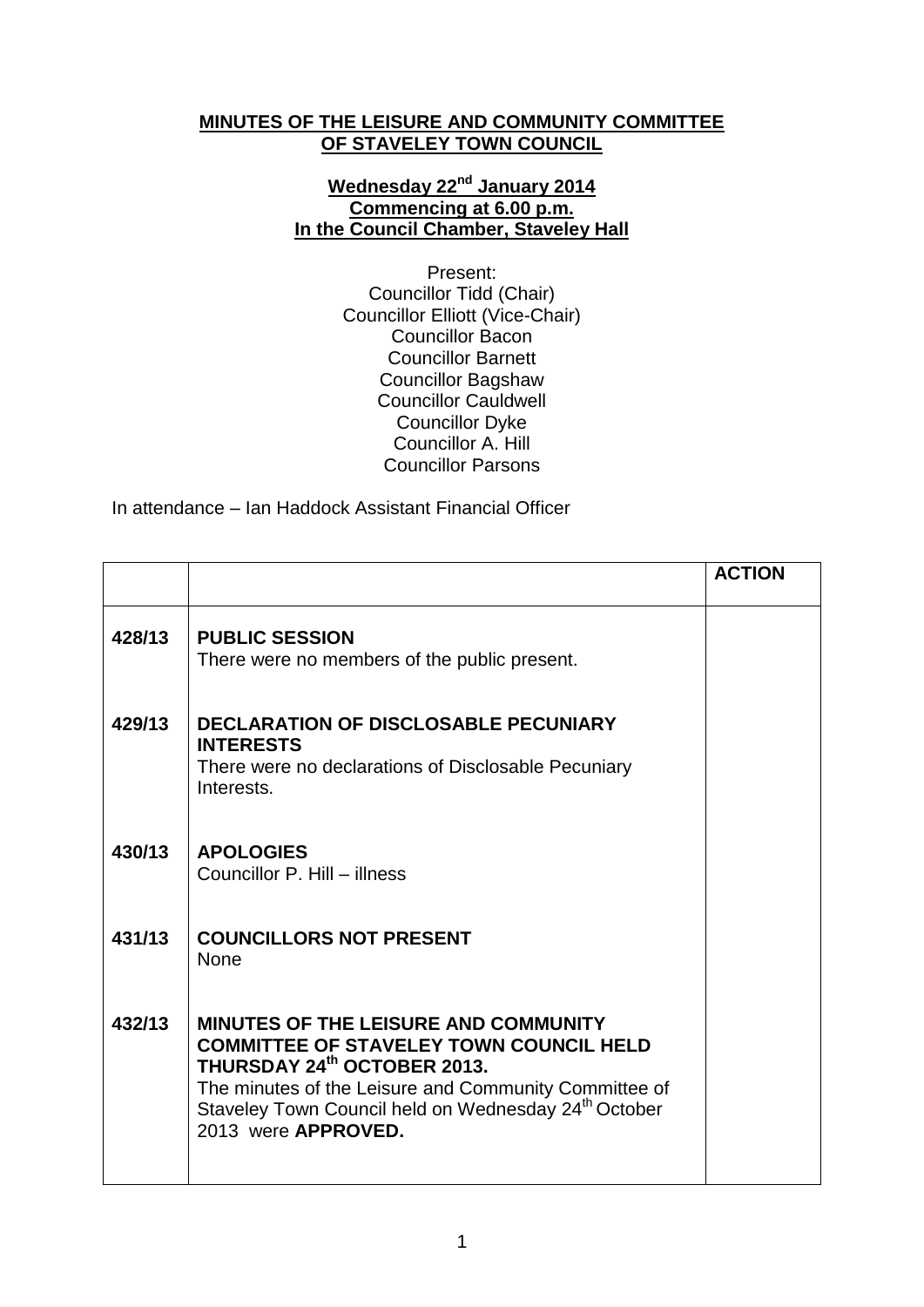## **MINUTES OF THE LEISURE AND COMMUNITY COMMITTEE OF STAVELEY TOWN COUNCIL**

## **Wednesday 22nd January 2014 Commencing at 6.00 p.m. In the Council Chamber, Staveley Hall**

Present: Councillor Tidd (Chair) Councillor Elliott (Vice-Chair) Councillor Bacon Councillor Barnett Councillor Bagshaw Councillor Cauldwell Councillor Dyke Councillor A. Hill Councillor Parsons

In attendance – Ian Haddock Assistant Financial Officer

|        |                                                                                                                                                                                                                                                                                  | <b>ACTION</b> |
|--------|----------------------------------------------------------------------------------------------------------------------------------------------------------------------------------------------------------------------------------------------------------------------------------|---------------|
| 428/13 | <b>PUBLIC SESSION</b><br>There were no members of the public present.                                                                                                                                                                                                            |               |
| 429/13 | <b>DECLARATION OF DISCLOSABLE PECUNIARY</b><br><b>INTERESTS</b><br>There were no declarations of Disclosable Pecuniary<br>Interests.                                                                                                                                             |               |
| 430/13 | <b>APOLOGIES</b><br>Councillor P. Hill - illness                                                                                                                                                                                                                                 |               |
| 431/13 | <b>COUNCILLORS NOT PRESENT</b><br><b>None</b>                                                                                                                                                                                                                                    |               |
| 432/13 | <b>MINUTES OF THE LEISURE AND COMMUNITY</b><br><b>COMMITTEE OF STAVELEY TOWN COUNCIL HELD</b><br>THURSDAY 24th OCTOBER 2013.<br>The minutes of the Leisure and Community Committee of<br>Staveley Town Council held on Wednesday 24 <sup>th</sup> October<br>2013 were APPROVED. |               |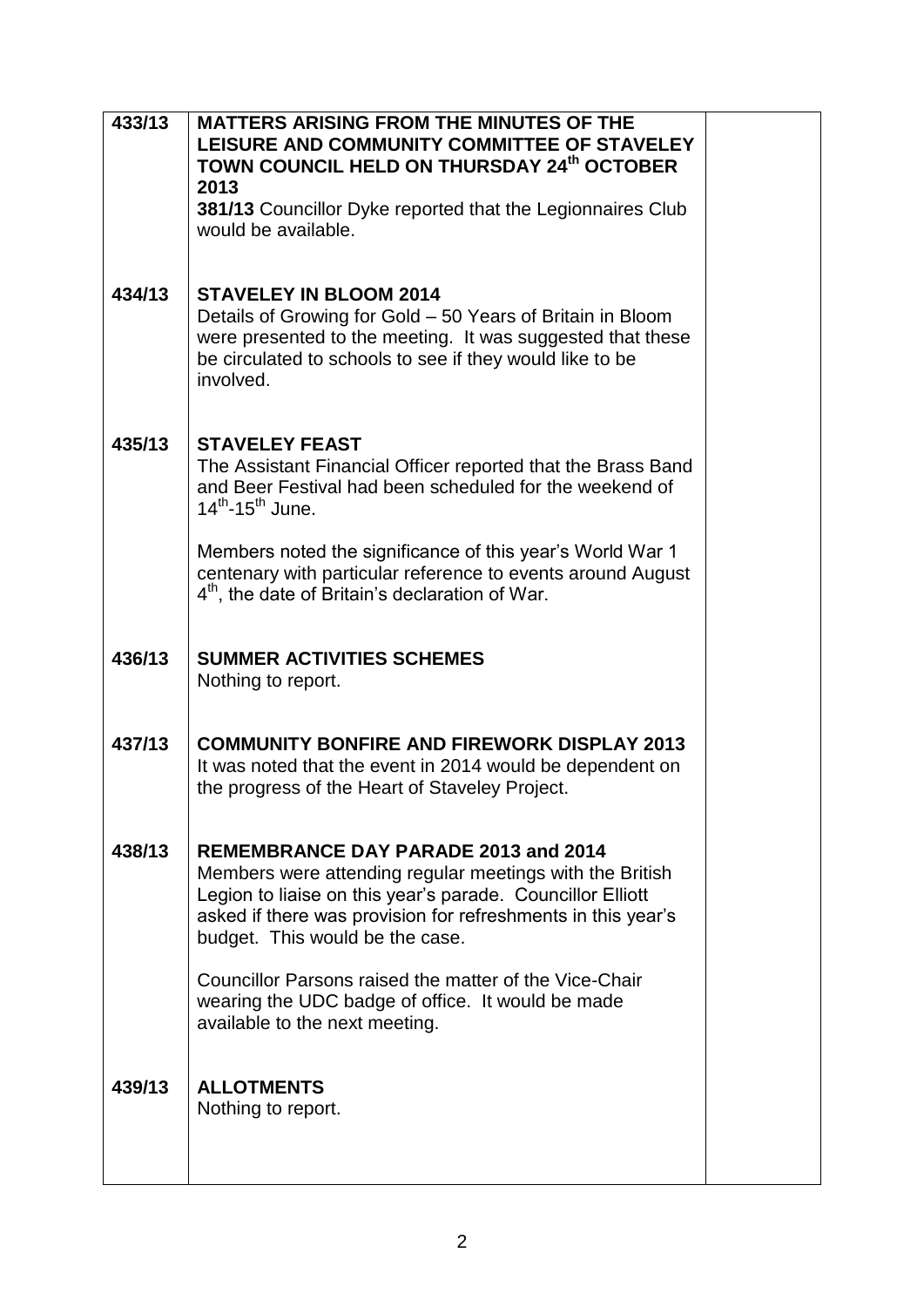| 433/13 | <b>MATTERS ARISING FROM THE MINUTES OF THE</b><br>LEISURE AND COMMUNITY COMMITTEE OF STAVELEY<br>TOWN COUNCIL HELD ON THURSDAY 24th OCTOBER<br>2013<br>381/13 Councillor Dyke reported that the Legionnaires Club<br>would be available.                                 |  |
|--------|--------------------------------------------------------------------------------------------------------------------------------------------------------------------------------------------------------------------------------------------------------------------------|--|
| 434/13 | <b>STAVELEY IN BLOOM 2014</b><br>Details of Growing for Gold – 50 Years of Britain in Bloom<br>were presented to the meeting. It was suggested that these<br>be circulated to schools to see if they would like to be<br>involved.                                       |  |
| 435/13 | <b>STAVELEY FEAST</b><br>The Assistant Financial Officer reported that the Brass Band<br>and Beer Festival had been scheduled for the weekend of<br>$14^{th}$ -15 <sup>th</sup> June.                                                                                    |  |
|        | Members noted the significance of this year's World War 1<br>centenary with particular reference to events around August<br>$4th$ , the date of Britain's declaration of War.                                                                                            |  |
| 436/13 | <b>SUMMER ACTIVITIES SCHEMES</b><br>Nothing to report.                                                                                                                                                                                                                   |  |
| 437/13 | <b>COMMUNITY BONFIRE AND FIREWORK DISPLAY 2013</b><br>It was noted that the event in 2014 would be dependent on<br>the progress of the Heart of Staveley Project.                                                                                                        |  |
| 438/13 | <b>REMEMBRANCE DAY PARADE 2013 and 2014</b><br>Members were attending regular meetings with the British<br>Legion to liaise on this year's parade. Councillor Elliott<br>asked if there was provision for refreshments in this year's<br>budget. This would be the case. |  |
|        | Councillor Parsons raised the matter of the Vice-Chair<br>wearing the UDC badge of office. It would be made<br>available to the next meeting.                                                                                                                            |  |
| 439/13 | <b>ALLOTMENTS</b><br>Nothing to report.                                                                                                                                                                                                                                  |  |